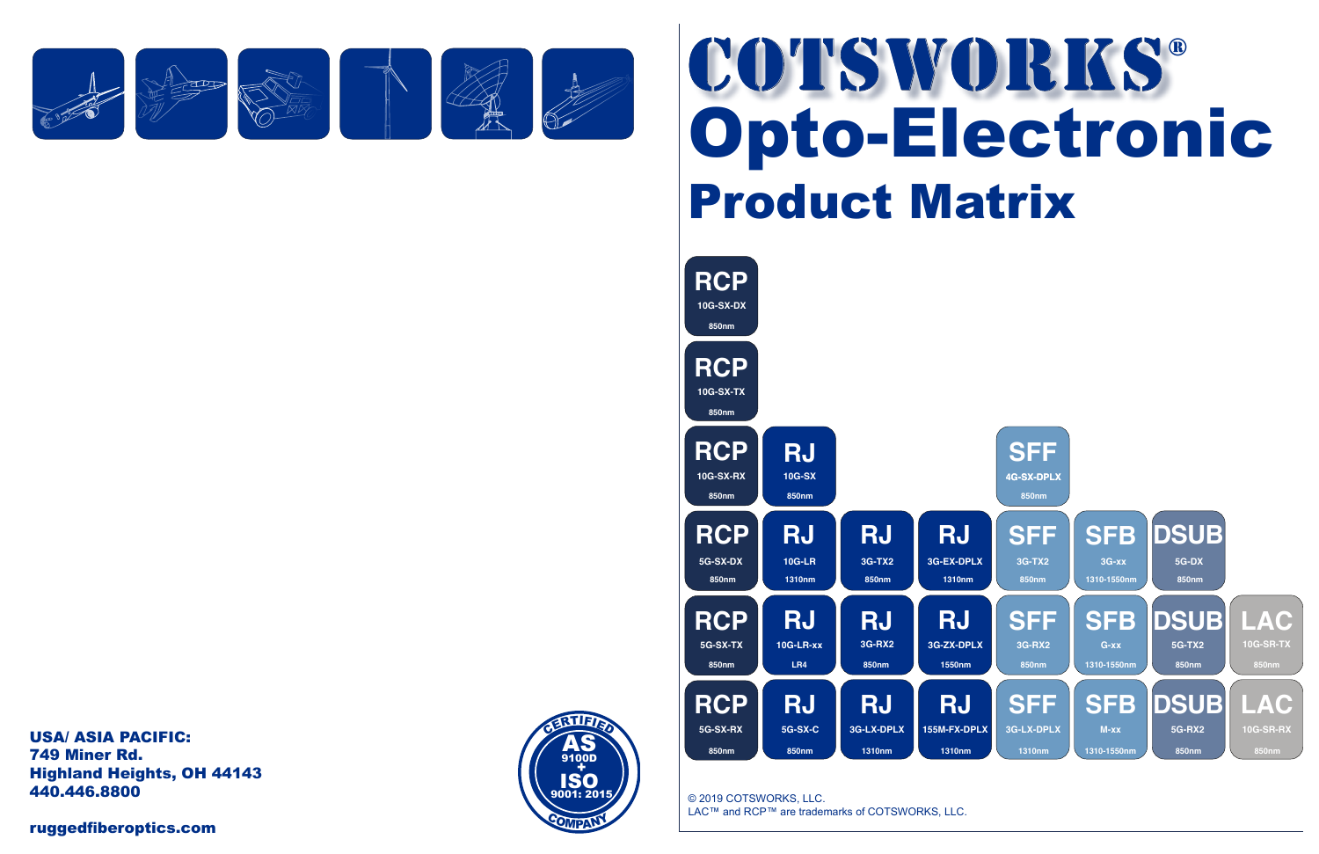## Opto-Electronic

© 2019 COTSWORKS, LLC. LAC™ and RCP™ are trademarks of COTSWORKS, LLC.



Product Matrix COTSWORKS® CONSIDERATION



USA/ ASIA PACIFIC: 749 Miner Rd. Highland Heights, OH 44143 440.446.8800

ruggedfiberoptics.com



**VFL**

**OC**<br>OCCUPA